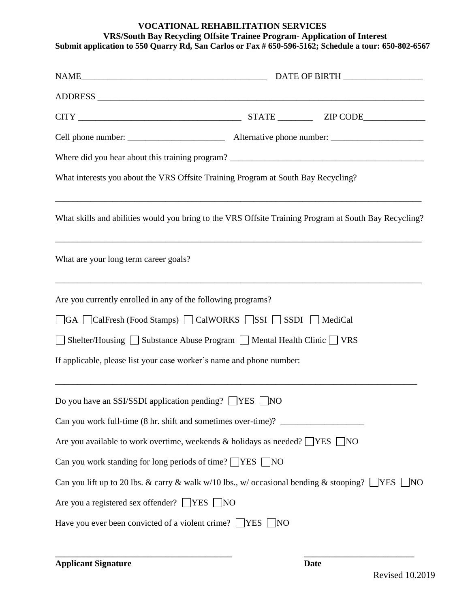## **VOCATIONAL REHABILITATION SERVICES VRS/South Bay Recycling Offsite Trainee Program- Application of Interest Submit application to 550 Quarry Rd, San Carlos or Fax # 650-596-5162; Schedule a tour: 650-802-6567**

| What interests you about the VRS Offsite Training Program at South Bay Recycling?                 |                                                                                                                                                                                            |
|---------------------------------------------------------------------------------------------------|--------------------------------------------------------------------------------------------------------------------------------------------------------------------------------------------|
|                                                                                                   | What skills and abilities would you bring to the VRS Offsite Training Program at South Bay Recycling?<br>,我们也不能在这里的人,我们也不能在这里的人,我们也不能在这里的人,我们也不能在这里的人,我们也不能在这里的人,我们也不能在这里的人,我们也不能在这里的人,我们也 |
| What are your long term career goals?                                                             |                                                                                                                                                                                            |
| Are you currently enrolled in any of the following programs?                                      |                                                                                                                                                                                            |
| □GA □CalFresh (Food Stamps) □ CalWORKS □SSI □ SSDI □ MediCal                                      |                                                                                                                                                                                            |
| Shelter/Housing □ Substance Abuse Program □ Mental Health Clinic □ VRS                            |                                                                                                                                                                                            |
| If applicable, please list your case worker's name and phone number:                              |                                                                                                                                                                                            |
| Do you have an SSI/SSDI application pending? $\Box$ YES $\Box$ NO                                 |                                                                                                                                                                                            |
| Can you work full-time (8 hr. shift and sometimes over-time)? __________________                  |                                                                                                                                                                                            |
| Are you available to work overtime, weekends & holidays as needed? $\Box$ YES $\Box$ NO           |                                                                                                                                                                                            |
| Can you work standing for long periods of time? $\Box$ YES $\Box$ NO                              |                                                                                                                                                                                            |
| Can you lift up to 20 lbs. & carry & walk w/10 lbs., w/ occasional bending & stooping? $\Box$ YES | - NO                                                                                                                                                                                       |
| Are you a registered sex offender? $\Box$ YES $\Box$ NO                                           |                                                                                                                                                                                            |
| Have you ever been convicted of a violent crime? $\Box$ YES $\Box$ NO                             |                                                                                                                                                                                            |

**\_\_\_\_\_\_\_\_\_\_\_\_\_\_\_\_\_\_\_\_\_\_\_\_\_\_\_\_\_\_\_\_\_\_\_\_\_\_\_\_ \_\_\_\_\_\_\_\_\_\_\_\_\_\_\_\_\_\_\_\_\_\_\_\_\_**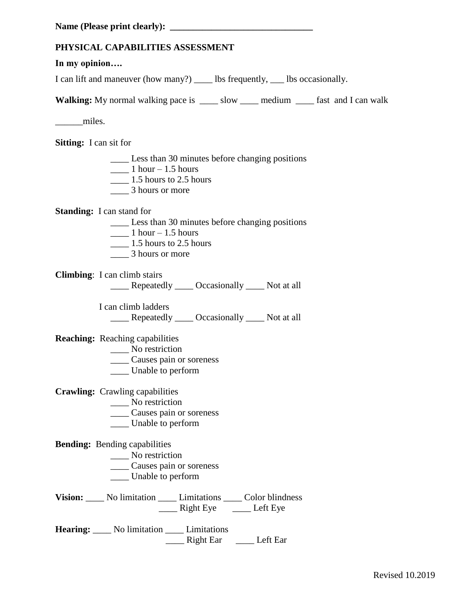## **PHYSICAL CAPABILITIES ASSESSMENT**

## **In my opinion….**

I can lift and maneuver (how many?) \_\_\_\_ lbs frequently, \_\_\_ lbs occasionally.

**Walking:** My normal walking pace is \_\_\_\_\_ slow \_\_\_\_\_ medium \_\_\_\_\_ fast and I can walk

miles.

**Sitting:** I can sit for

\_\_\_\_ Less than 30 minutes before changing positions  $\frac{1 \text{ hour} - 1.5 \text{ hours}}{2}$  $\frac{1.5 \text{ hours}}{2.5 \text{ hours}}$ \_\_\_\_ 3 hours or more

**Standing:** I can stand for

- \_\_\_\_ Less than 30 minutes before changing positions
- $1$  hour  $-1.5$  hours
- $\frac{1.5 \text{ hours}}{2.5 \text{ hours}}$
- \_\_\_\_ 3 hours or more

**Climbing**: I can climb stairs

\_\_\_\_ Repeatedly \_\_\_\_ Occasionally \_\_\_\_ Not at all

 I can climb ladders Repeatedly Occasionally Not at all

**Reaching:** Reaching capabilities

- \_\_\_\_\_ No restriction
- \_\_\_\_ Causes pain or soreness
- \_\_\_\_ Unable to perform

**Crawling:** Crawling capabilities

- \_\_\_\_ No restriction
- \_\_\_\_ Causes pain or soreness
- \_\_\_\_ Unable to perform

**Bending:** Bending capabilities

- \_\_\_\_ No restriction
	- \_\_\_\_ Causes pain or soreness
	- \_\_\_\_ Unable to perform
- Vision: \_\_\_\_ No limitation \_\_\_\_ Limitations \_\_\_\_ Color blindness \_\_\_\_ Right Eye \_\_\_\_ Left Eye
- **Hearing:** \_\_\_\_ No limitation \_\_\_\_ Limitations \_\_\_\_ Right Ear \_\_\_\_ Left Ear